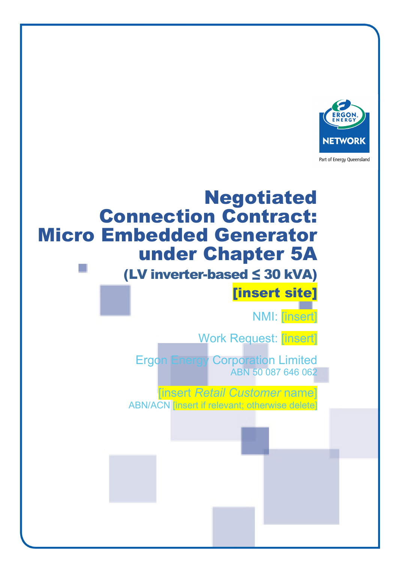

Part of Energy Queensland

# Negotiated Connection Contract: Micro Embedded Generator under Chapter 5A

# (LV inverter-based ≤ 30 kVA) [insert site]

NMI: [insert]

Work Request: [insert]

Ergon Energy Corporation Limited ABN 50 087 646 062

[insert *Retail Customer* name] ABN/ACN [insert if relevant; otherwise delete]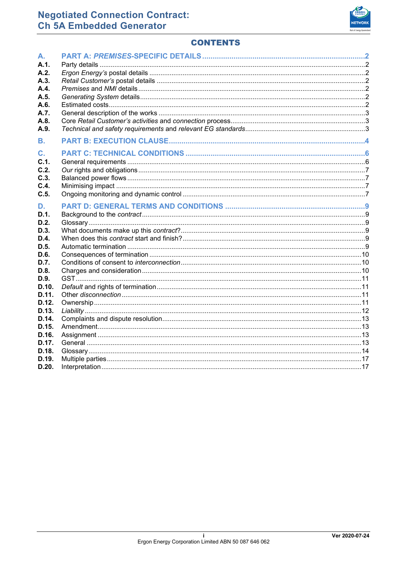

# **CONTENTS**

| А.             |  |
|----------------|--|
| A.1.           |  |
| A.2.           |  |
| A.3.           |  |
| A.4.           |  |
| A.5.           |  |
| A.6.           |  |
| A.7.           |  |
| A.8.           |  |
| A.9.           |  |
|                |  |
| В.             |  |
| $\mathbf{C}$ . |  |
| C.1.           |  |
| C.2.           |  |
| C.3.           |  |
| C.4.           |  |
| C.5.           |  |
| D.             |  |
| D.1.           |  |
| D.2.           |  |
| D.3.           |  |
| D.4.           |  |
| D.5.           |  |
| D.6.           |  |
| D.7.           |  |
| D.8.           |  |
| D.9.           |  |
| D.10.          |  |
| D.11.          |  |
| D.12.          |  |
| D.13.          |  |
| D.14.          |  |
| D.15.          |  |
| D.16.          |  |
| D.17.          |  |
| D.18.          |  |
| D.19.          |  |
| D.20.          |  |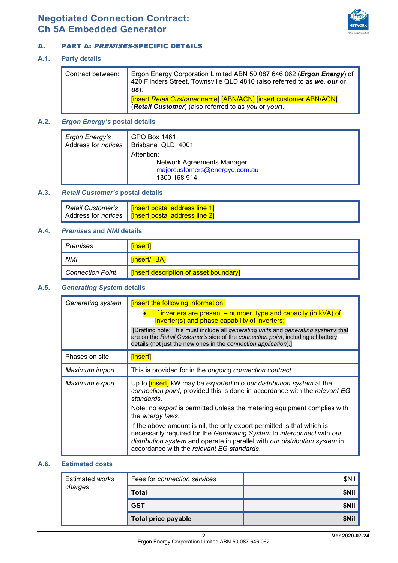

# <span id="page-2-1"></span>A. PART A: PREMISES-SPECIFIC DETAILS

## <span id="page-2-3"></span>**A.1. Party details**

| Contract between: | Ergon Energy Corporation Limited ABN 50 087 646 062 ( <i>Ergon Energy</i> ) of 420 Flinders Street, Townsville QLD 4810 (also referred to as we, our or<br>$\mathsf{u}$ s). |
|-------------------|-----------------------------------------------------------------------------------------------------------------------------------------------------------------------------|
|                   | [insert Retail Customer name] [ABN/ACN] [insert customer ABN/ACN]<br>(Retail Customer) (also referred to as you or your).                                                   |

# **A.2.** *Ergon Energy's* **postal details**

| Ergon Energy's      | GPO Box 1461                                                                              |  |
|---------------------|-------------------------------------------------------------------------------------------|--|
| Address for notices | Brisbane QLD 4001                                                                         |  |
|                     | Attention:<br>Network Agreements Manager<br>majorcustomers@energyq.com.au<br>1300 168 914 |  |

# **A.3.** *Retail Customer's* **postal details**

|  | Retail Customer's   Tinsert postal address line 1]          |
|--|-------------------------------------------------------------|
|  | Address for <i>notices</i>   [insert postal address line 2] |

# <span id="page-2-4"></span>**A.4.** *Premises* **and** *NMI* **details**

| Premises         | <u>linsert</u>                         |
|------------------|----------------------------------------|
| <b>NMI</b>       | [insert/TBA]                           |
| Connection Point | [insert description of asset boundary] |

## <span id="page-2-0"></span>**A.5.** *Generating System* **details**

| Generating system | <b>[insert the following information:</b>                                                                                                                                                                                                                                      |  |
|-------------------|--------------------------------------------------------------------------------------------------------------------------------------------------------------------------------------------------------------------------------------------------------------------------------|--|
|                   | If inverters are present – number, type and capacity (in $kVA$ ) of<br>inverter(s) and phase capability of inverters;                                                                                                                                                          |  |
|                   | [Drafting note: This must include all <i>generating units</i> and <i>generating systems</i> that<br>are on the Retail Customer's side of the connection point, including all battery<br>details (not just the new ones in the connection application).]                        |  |
| Phases on site    | [insert]                                                                                                                                                                                                                                                                       |  |
| Maximum import    | This is provided for in the ongoing connection contract.                                                                                                                                                                                                                       |  |
| Maximum export    | Up to <b>[insert]</b> kW may be exported into our distribution system at the<br>connection point, provided this is done in accordance with the relevant EG<br>standards.                                                                                                       |  |
|                   | Note: no export is permitted unless the metering equipment complies with<br>the energy laws.                                                                                                                                                                                   |  |
|                   | If the above amount is nil, the only export permitted is that which is<br>necessarily required for the Generating System to interconnect with our<br>distribution system and operate in parallel with our distribution system in<br>accordance with the relevant EG standards. |  |

# <span id="page-2-2"></span>**A.6. Estimated costs**

| Estimated works | Fees for connection services | \$Nil |
|-----------------|------------------------------|-------|
| charges         | Total                        | \$Nil |
|                 | <b>GST</b>                   | \$Nil |
|                 | Total price payable          | \$Nil |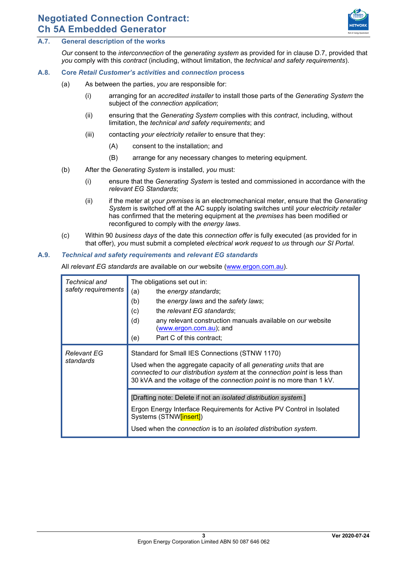

# **A.7. General description of the works**

*Our* consent to the *interconnection* of the *generating system* as provided for in clause [D.7,](#page-10-0) provided that *you* comply with this *contract* (including, without limitation, the *technical and safety requirements*).

# <span id="page-3-1"></span>**A.8. Core** *Retail Customer's activities* **and** *connection* **process**

- (a) As between the parties, *you* are responsible for:
	- (i) arranging for an *accredited installer* to install those parts of the *Generating System* the subject of the *connection application*;
	- (ii) ensuring that the *Generating System* complies with this *contract*, including, without limitation, the *technical and safety requirements*; and
	- (iii) contacting *your electricity retailer* to ensure that they:
		- (A) consent to the installation; and
		- (B) arrange for any necessary changes to metering equipment.
- (b) After the *Generating System* is installed, *you* must:
	- (i) ensure that the *Generating System* is tested and commissioned in accordance with the *relevant EG Standards*;
	- (ii) if the meter at *your premises* is an electromechanical meter, ensure that the *Generating System* is switched off at the AC supply isolating switches until *your electricity retailer*  has confirmed that the metering equipment at the *premises* has been modified or reconfigured to comply with the *energy laws*.
- (c) Within 90 *business days* of the date this *connection offer* is fully executed (as provided for in that offer), *you* must submit a completed *electrical work request* to *us* through *our SI Portal*.

#### <span id="page-3-2"></span><span id="page-3-0"></span>**A.9.** *Technical and safety requirements* **and** *relevant EG standards*

All *relevant EG standards* are available on *our* website [\(www.ergon.com.au\)](http://www.ergon.com.au/).

| Technical and<br>safety requirements | The obligations set out in:<br>(a)<br>the energy standards;<br>(b)<br>the energy laws and the safety laws;<br>(c)<br>the relevant EG standards;<br>(d)<br>any relevant construction manuals available on <i>our</i> website<br>(www.ergon.com.au); and                          |  |
|--------------------------------------|---------------------------------------------------------------------------------------------------------------------------------------------------------------------------------------------------------------------------------------------------------------------------------|--|
|                                      | Part C of this contract;<br>(e)                                                                                                                                                                                                                                                 |  |
| <b>Relevant EG</b><br>standards      | Standard for Small IES Connections (STNW 1170)<br>Used when the aggregate capacity of all <i>generating units</i> that are<br>connected to our distribution system at the connection point is less than<br>30 kVA and the voltage of the connection point is no more than 1 kV. |  |
|                                      | [Drafting note: Delete if not an <i>isolated distribution system</i> .]<br>Ergon Energy Interface Requirements for Active PV Control in Isolated<br>Systems (STNW[insert])<br>Used when the connection is to an isolated distribution system.                                   |  |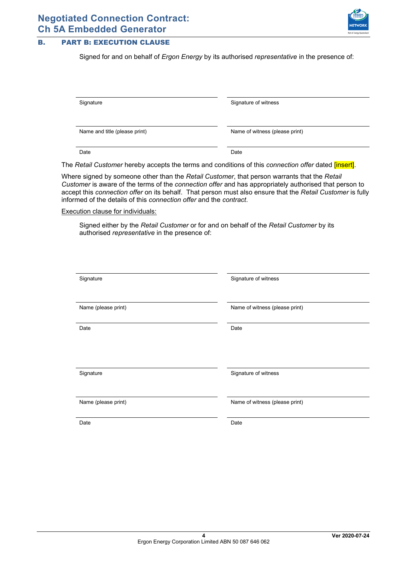

# <span id="page-4-0"></span>B. PART B: EXECUTION CLAUSE

Signed for and on behalf of *Ergon Energy* by its authorised *representative* in the presence of:

| Signature                     | Signature of witness           |
|-------------------------------|--------------------------------|
|                               |                                |
|                               |                                |
| Name and title (please print) | Name of witness (please print) |
|                               |                                |
|                               |                                |
| Date                          | Date                           |
|                               |                                |

The *Retail Customer* hereby accepts the terms and conditions of this *connection offer* dated [insert].

Where signed by someone other than the *Retail Customer*, that person warrants that the *Retail Customer* is aware of the terms of the *connection offer* and has appropriately authorised that person to accept this *connection offer* on its behalf. That person must also ensure that the *Retail Customer* is fully informed of the details of this *connection offer* and the *contract*.

Execution clause for individuals:

Signed either by the *Retail Customer* or for and on behalf of the *Retail Customer* by its authorised *representative* in the presence of:

| Signature           | Signature of witness           |
|---------------------|--------------------------------|
| Name (please print) | Name of witness (please print) |
| Date                | Date                           |
|                     |                                |
| Signature           | Signature of witness           |
| Name (please print) | Name of witness (please print) |
| Date                | Date                           |
|                     |                                |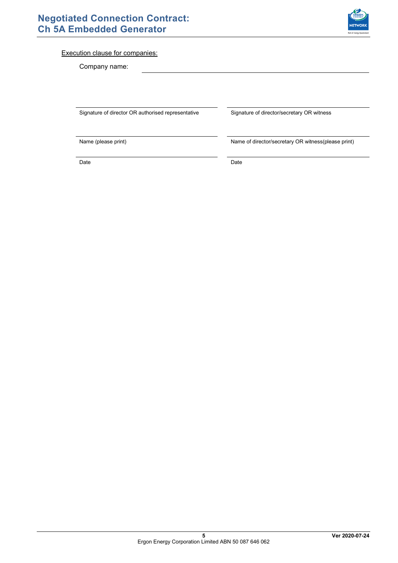

# Execution clause for companies:

Company name:

Signature of director OR authorised representative Signature of director/secretary OR witness

Name (please print) Name of director/secretary OR witness(please print)

Date **Date Date Date Date Date Date**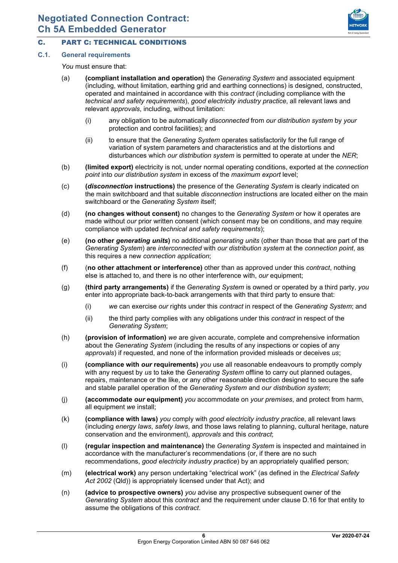

# <span id="page-6-0"></span>C. PART C: TECHNICAL CONDITIONS

# **C.1. General requirements**

*You* must ensure that:

- (a) **(compliant installation and operation)** the *Generating System* and associated equipment (including, without limitation, earthing grid and earthing connections) is designed, constructed, operated and maintained in accordance with this *contract* (including compliance with the *technical and safety requirements*), *good electricity industry practice*, all relevant laws and relevant *approvals*, including, without limitation:
	- (i) any obligation to be automatically *disconnected* from *our distribution system* by *your* protection and control facilities); and
	- (ii) to ensure that the *Generating System* operates satisfactorily for the full range of variation of system parameters and characteristics and at the distortions and disturbances which *our distribution system* is permitted to operate at under the *NER*;
- (b) **(limited export)** electricity is not, under normal operating conditions, exported at the *connection point* into *our distribution system* in excess of the *maximum export* level;
- (c) **(***disconnection* **instructions)** the presence of the *Generating System* is clearly indicated on the main switchboard and that suitable *disconnection* instructions are located either on the main switchboard or the *Generating System* itself;
- (d) **(no changes without consent)** no changes to the *Generating System* or how it operates are made without *our* prior written consent (which consent may be on conditions, and may require compliance with updated *technical and safety requirements*);
- (e) **(no other** *generating units***)** no additional *generating units* (other than those that are part of the *Generating System*) are *interconnected* with *our distribution system* at the *connection point*, as this requires a new *connection application*;
- (f) (**no other attachment or interference)** other than as approved under this *contract*, nothing else is attached to, and there is no other interference with, *our* equipment;
- (g) **(third party arrangements)** if the *Generating System* is owned or operated by a third party, *you* enter into appropriate back-to-back arrangements with that third party to ensure that:
	- (i) *we* can exercise *our* rights under this *contract* in respect of the *Generating System*; and
	- (ii) the third party complies with any obligations under this *contract* in respect of the *Generating System*;
- (h) **(provision of information)** *we* are given accurate, complete and comprehensive information about the *Generating System* (including the results of any inspections or copies of any *approvals*) if requested, and none of the information provided misleads or deceives *us*;
- (i) **(compliance with** *our* **requirements)** *you* use all reasonable endeavours to promptly comply with any request by *us* to take the *Generating System* offline to carry out planned outages, repairs, maintenance or the like, or any other reasonable direction designed to secure the safe and stable parallel operation of the *Generating System* and *our distribution system*;
- (j) **(accommodate** *our* **equipment)** *you* accommodate on *your premises*, and protect from harm, all equipment *we* install;
- (k) **(compliance with laws)** *you* comply with *good electricity industry practice*, all relevant laws (including *energy laws*, *safety laws*, and those laws relating to planning, cultural heritage, nature conservation and the environment), *approvals* and this *contract*;
- (l) **(regular inspection and maintenance)** the *Generating System* is inspected and maintained in accordance with the manufacturer's recommendations (or, if there are no such recommendations, *good electricity industry practice*) by an appropriately qualified person;
- (m) **(electrical work)** any person undertaking "electrical work" (as defined in the *Electrical Safety Act 2002* (Qld)) is appropriately licensed under that Act); and
- (n) **(advice to prospective owners)** *you* advise any prospective subsequent owner of the *Generating System* about this *contract* and the requirement under clause [D.16](#page-13-0) for that entity to assume the obligations of this *contract*.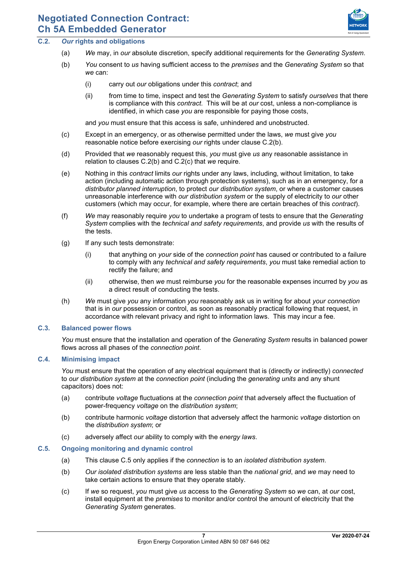

# <span id="page-7-0"></span>**C.2.** *Our* **rights and obligations**

- (a) *We* may, in *our* absolute discretion, specify additional requirements for the *Generating System*.
- (b) *You* consent to *us* having sufficient access to the *premises* and the *Generating System* so that *we* can:
	- (i) carry out *our* obligations under this *contract*; and
	- (ii) from time to time, inspect and test the *Generating System* to satisfy *ourselves* that there is compliance with this *contract*. This will be at *our* cost, unless a non-compliance is identified, in which case *you* are responsible for paying those costs,

and *you* must ensure that this access is safe, unhindered and unobstructed.

- <span id="page-7-1"></span>(c) Except in an emergency, or as otherwise permitted under the laws, *we* must give *you* reasonable notice before exercising *our* rights under clause [C.2\(b\).](#page-7-0)
- (d) Provided that *we* reasonably request this, *you* must give *us* any reasonable assistance in relation to clauses [C.2\(b\)](#page-7-0) and [C.2\(c\)](#page-7-1) that *we* require.
- (e) Nothing in this *contract* limits *our* rights under any laws, including, without limitation, to take action (including automatic action through protection systems), such as in an emergency, for a *distributor planned interruption*, to protect *our distribution system*, or where a customer causes unreasonable interference with *our distribution system* or the supply of electricity to *our* other customers (which may occur, for example, where there are certain breaches of this *contract*).
- (f) *We* may reasonably require *you* to undertake a program of tests to ensure that the *Generating System* complies with the *technical and safety requirements*, and provide *us* with the results of the tests.
- (g) If any such tests demonstrate:
	- (i) that anything on *your* side of the *connection point* has caused or contributed to a failure to comply with any *technical and safety requirements*, *you* must take remedial action to rectify the failure; and
	- (ii) otherwise, then *we* must reimburse *you* for the reasonable expenses incurred by *you* as a direct result of conducting the tests.
- (h) *We* must give *you* any information *you* reasonably ask us in writing for about *your connection* that is in *our* possession or control, as soon as reasonably practical following that request, in accordance with relevant privacy and right to information laws. This may incur a fee.

## **C.3. Balanced power flows**

*You* must ensure that the installation and operation of the *Generating System* results in balanced power flows across all phases of the *connection point*.

## **C.4. Minimising impact**

*You* must ensure that the operation of any electrical equipment that is (directly or indirectly) *connected* to *our distribution system* at the *connection point* (including the *generating units* and any shunt capacitors) does not:

- (a) contribute *voltage* fluctuations at the *connection point* that adversely affect the fluctuation of power-frequency *voltage* on the *distribution system*;
- (b) contribute harmonic *voltage* distortion that adversely affect the harmonic *voltage* distortion on the *distribution system*; or
- (c) adversely affect *our* ability to comply with the *energy laws*.

## <span id="page-7-2"></span>**C.5. Ongoing monitoring and dynamic control**

- (a) This clause [C.5](#page-7-2) only applies if the *connection* is to an *isolated distribution system*.
- (b) *Our isolated distribution systems* are less stable than the *national grid*, and *we* may need to take certain actions to ensure that they operate stably.
- (c) If *we* so request, *you* must give *us* access to the *Generating System* so *we* can, at *our* cost, install equipment at the *premises* to monitor and/or control the amount of electricity that the *Generating System* generates.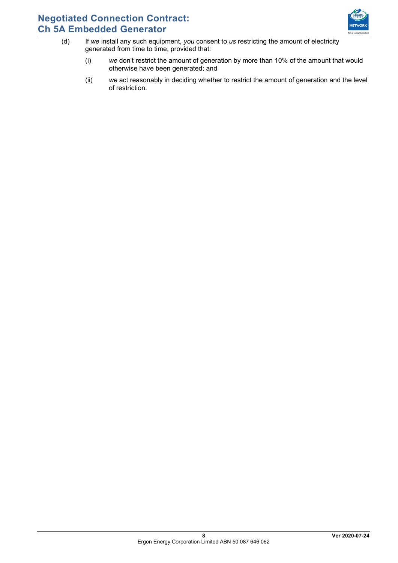

- (d) If *we* install any such equipment, *you* consent to *us* restricting the amount of electricity generated from time to time, provided that:
	- (i) *we* don't restrict the amount of generation by more than 10% of the amount that would otherwise have been generated; and
	- (ii) *we* act reasonably in deciding whether to restrict the amount of generation and the level of restriction.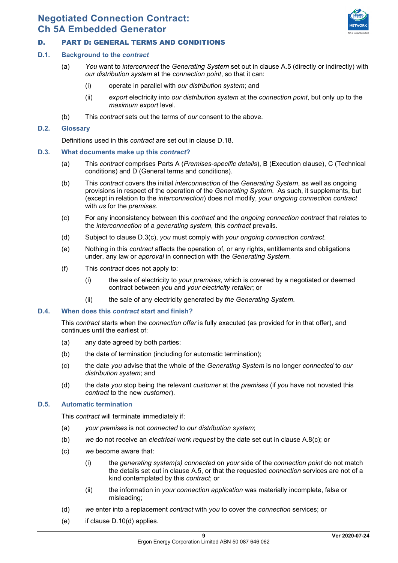# <span id="page-9-0"></span>D. PART D: GENERAL TERMS AND CONDITIONS

# **D.1. Background to the** *contract*

- (a) *You* want to *interconnect* the *Generating System* set out in clause [A.5](#page-2-0) (directly or indirectly) with *our distribution system* at the *connection point*, so that it can:
	- (i) operate in parallel with *our distribution system*; and
	- (ii) *export* electricity into *our distribution system* at the *connection point*, but only up to the *maximum export* level.
- (b) This *contract* sets out the terms of *our* consent to the above.

# **D.2. Glossary**

Definitions used in this *contract* are set out in clause [D.18.](#page-14-0)

- <span id="page-9-1"></span>**D.3. What documents make up this** *contract***?**
	- (a) This *contract* comprises Parts [A](#page-2-1) (*Premises-specific details*), [B](#page-4-0) (Execution clause), [C \(](#page-6-0)Technical conditions) and [D](#page-9-0) (General terms and conditions).
	- (b) This *contract* covers the initial *interconnection* of the *Generating System*, as well as ongoing provisions in respect of the operation of the *Generating System*. As such, it supplements, but (except in relation to the *interconnection*) does not modify, *your ongoing connection contract* with *us* for the *premises*.
	- (c) For any inconsistency between this *contract* and the *ongoing connection contract* that relates to the *interconnection* of a *generating system*, this *contract* prevails.
	- (d) Subject to clause [D.3\(c\),](#page-9-1) *you* must comply with *your ongoing connection contract*.
	- (e) Nothing in this *contract* affects the operation of, or any rights, entitlements and obligations under, any law or *approval* in connection with the *Generating System*.
	- (f) This *contract* does not apply to:
		- (i) the sale of electricity to *your premises*, which is covered by a negotiated or deemed contract between *you* and *your electricity retailer*; or
		- (ii) the sale of any electricity generated by *the Generating System*.

# **D.4. When does this** *contract* **start and finish?**

This *contract* starts when the *connection offer* is fully executed (as provided for in that offer), and continues until the earliest of:

- (a) any date agreed by both parties;
- (b) the date of termination (including for automatic termination);
- (c) the date *you* advise that the whole of the *Generating System* is no longer *connected* to *our distribution system*; and
- (d) the date *you* stop being the relevant *customer* at the *premises* (if *you* have not novated this *contract* to the new *customer*).

# **D.5. Automatic termination**

This *contract* will terminate immediately if:

- (a) *your premises* is not *connected* to *our distribution system*;
- (b) *we* do not receive an *electrical work request* by the date set out in clause [A.8\(c\);](#page-3-0) or
- (c) *we* become aware that:
	- (i) the *generating system(s) connected* on *your* side of the *connection point* do not match the details set out in clause [A.5,](#page-2-0) or that the requested *connection* services are not of a kind contemplated by this *contract*; or
	- (ii) the information in *your connection application* was materially incomplete, false or misleading;
- (d) *we* enter into a replacement *contract* with *you* to cover the *connection* services; or
- (e) if clause [D.10\(d\)](#page-11-0) applies.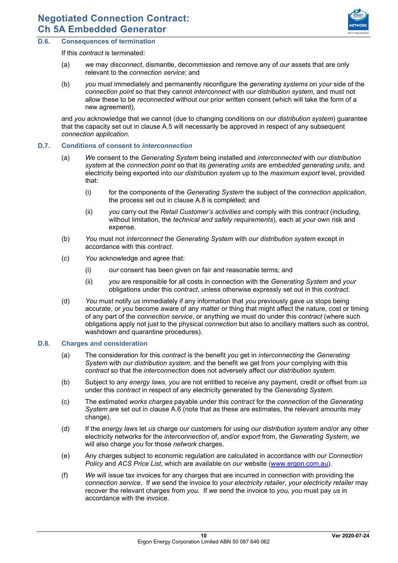

# <span id="page-10-1"></span>**D.6. Consequences of termination**

If this *contract* is terminated:

- (a) *we* may *disconnect*, dismantle, decommission and remove any of *our* assets that are only relevant to the *connection service*; and
- (b) *you* must immediately and permanently reconfigure the *generating systems* on *your* side of the *connection point* so that they cannot *interconnect* with *our distribution system*, and must not allow these to be *reconnected* without *our* prior written consent (which will take the form of a new agreement),

and *you* acknowledge that *we* cannot (due to changing conditions on *our distribution system*) guarantee that the capacity set out in clause [A.5](#page-2-0) will necessarily be approved in respect of any subsequent *connection application*.

#### <span id="page-10-0"></span>**D.7. Conditions of consent to** *interconnection*

- (a) *We* consent to the *Generating System* being installed and *interconnected* with *our distribution system* at the *connection point* so that its *generating units* are *embedded generating units*, and electricity being exported into *our distribution system* up to the *maximum export* level, provided that:
	- (i) for the components of the *Generating System* the subject of the *connection application*, the process set out in clause [A.8](#page-3-1) is completed; and
	- (ii) *you* carry out the *Retail Customer's activities* and comply with this *contract* (including, without limitation, the *technical and safety requirements*), each at *your* own risk and expense.
- (b) *You* must not *interconnect* the *Generating System* with *our distribution system* except in accordance with this *contract*.
- (c) *You* acknowledge and agree that:
	- (i) *our* consent has been given on fair and reasonable terms; and
	- (ii) *you* are responsible for all costs in connection with the *Generating System* and *your*  obligations under this *contract*, unless otherwise expressly set out in this *contract*.
- (d) *You* must notify *us* immediately if any information that *you* previously gave *us* stops being accurate, or *you* become aware of any matter or thing that might affect the nature, cost or timing of any part of the *connection service*, or anything *we* must do under this *contract* (where such obligations apply not just to the physical *connection* but also to ancillary matters such as control, washdown and quarantine procedures).

#### **D.8. Charges and consideration**

- (a) The consideration for this *contract* is the benefit *you* get in *interconnecting* the *Generating System* with *our distribution system*, and the benefit *we* get from *your* complying with this *contract* so that the *interconnection* does not adversely affect *our distribution system*.
- (b) Subject to any *energy laws*, *you* are not entitled to receive any payment, credit or offset from *us*  under this *contract* in respect of any electricity generated by the *Generating System*.
- (c) The estimated *works charges* payable under this *contract* for the *connection* of the *Generating System* are set out in clause [A.6](#page-2-2) (note that as these are estimates, the relevant amounts may change).
- (d) If the *energy laws* let *us* charge *our* customers for using *our distribution system* and/or any other electricity networks for the *interconnection* of, and/or *export* from, the *Generating System*, *we*  will also charge *you* for those *network* charges.
- (e) Any charges subject to economic regulation are calculated in accordance with *our Connection Policy* and *ACS Price List*, which are available on *our* website [\(www.ergon.com.au\)](http://www.ergon.com.au/).
- (f) *We* will issue tax invoices for any charges that are incurred in connection with providing the *connection service*. If *we* send the invoice to *your electricity retailer*, *your electricity retailer* may recover the relevant charges from *you*. If *we* send the invoice to *you, you* must pay *us* in accordance with the invoice.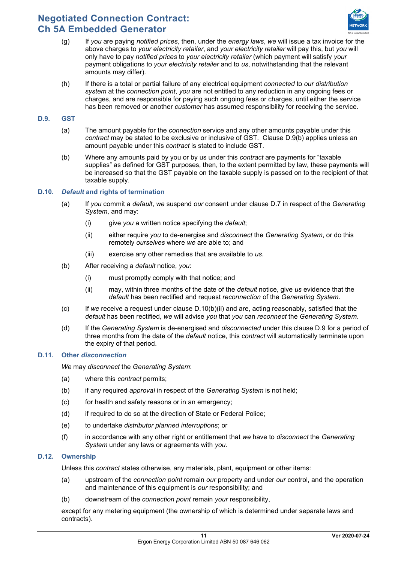

- (g) If *you* are paying *notified prices*, then, under the *energy laws*, *we* will issue a tax invoice for the above charges to *your electricity retailer*, and *your electricity retailer* will pay this, but *you* will only have to pay *notified prices* to *your electricity retailer* (which payment will satisfy *your*  payment obligations to *your electricity retailer* and to *us*, notwithstanding that the relevant amounts may differ).
- (h) If there is a total or partial failure of any electrical equipment *connected* to *our distribution system* at the *connection point*, *you* are not entitled to any reduction in any ongoing fees or charges, and are responsible for paying such ongoing fees or charges, until either the service has been removed or another *customer* has assumed responsibility for receiving the service.

# <span id="page-11-3"></span>**D.9. GST**

- (a) The amount payable for the *connection* service and any other amounts payable under this *contract* may be stated to be exclusive or inclusive of GST. Clause [D.9\(b\)](#page-11-1) applies unless an amount payable under this *contract* is stated to include GST.
- <span id="page-11-1"></span>(b) Where any amounts paid by you or by us under this *contract* are payments for "taxable supplies" as defined for GST purposes, then, to the extent permitted by law, these payments will be increased so that the GST payable on the taxable supply is passed on to the recipient of that taxable supply.

## **D.10.** *Default* **and rights of termination**

- (a) If *you* commit a *default*, *we* suspend *our* consent under clause [D.7](#page-10-0) in respect of the *Generating System*, and may:
	- (i) give *you* a written notice specifying the *default*;
	- (ii) either require *you* to de-energise and *disconnect* the *Generating System*, or do this remotely *ourselves* where *we* are able to; and
	- (iii) exercise any other remedies that are available to *us*.
- (b) After receiving a *default* notice, *you*:
	- (i) must promptly comply with that notice; and
	- (ii) may, within three months of the date of the *default* notice, give *us* evidence that the *default* has been rectified and request *reconnection* of the *Generating System*.
- <span id="page-11-2"></span>(c) If *we* receive a request under clause [D.10\(b\)\(ii\)](#page-11-2) and are, acting reasonably, satisfied that the *default* has been rectified, *we* will advise *you* that *you* can *reconnect* the *Generating System*.
- <span id="page-11-0"></span>(d) If the *Generating System* is de-energised and *disconnected* under this clause [D.9](#page-11-3) for a period of three months from the date of the *default* notice, this *contract* will automatically terminate upon the expiry of that period.

## **D.11. Other** *disconnection*

*We* may *disconnect* the *Generating System*:

- (a) where this *contract* permits;
- (b) if any required *approval* in respect of the *Generating System* is not held;
- (c) for health and safety reasons or in an emergency;
- (d) if required to do so at the direction of State or Federal Police;
- (e) to undertake *distributor planned interruptions*; or
- (f) in accordance with any other right or entitlement that *we* have to *disconnect* the *Generating System* under any laws or agreements with *you*.

## **D.12. Ownership**

Unless this *contract* states otherwise, any materials, plant, equipment or other items:

- (a) upstream of the *connection point* remain *our* property and under *our* control, and the operation and maintenance of this equipment is *our* responsibility; and
- (b) downstream of the *connection point* remain *your* responsibility,

except for any metering equipment (the ownership of which is determined under separate laws and contracts).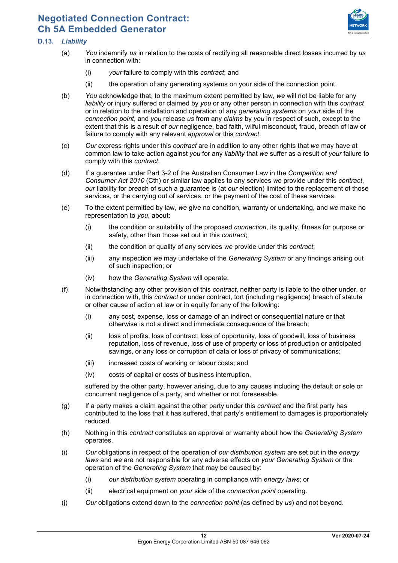# Ergon Energy Corporation Limited ABN 50 087 646 062

# **Negotiated Connection Contract: Ch 5A Embedded Generator**

# **D.13.** *Liability*

- (a) *You* indemnify *us* in relation to the costs of rectifying all reasonable direct losses incurred by *us*  in connection with:
	- (i) *your* failure to comply with this *contract*; and
	- (ii) the operation of any generating systems on your side of the connection point.
- (b) *You* acknowledge that, to the maximum extent permitted by law, *we* will not be liable for any *liability* or injury suffered or claimed by *you* or any other person in connection with this *contract* or in relation to the installation and operation of any *generating systems* on *your* side of the *connection point*, and *you* release *us* from any *claims* by *you* in respect of such, except to the extent that this is a result of *our* negligence, bad faith, wilful misconduct, fraud, breach of law or failure to comply with any relevant *approval* or this *contract*.
- (c) *Our* express rights under this *contract* are in addition to any other rights that *we* may have at common law to take action against *you* for any *liability* that *we* suffer as a result of *your* failure to comply with this *contract*.
- (d) If a guarantee under Part 3-2 of the Australian Consumer Law in the *Competition and Consumer Act 2010* (Cth) or similar law applies to any services *we* provide under this *contract*, *our* liability for breach of such a guarantee is (at *our* election) limited to the replacement of those services, or the carrying out of services, or the payment of the cost of these services.
- (e) To the extent permitted by law, *we* give no condition, warranty or undertaking, and *we* make no representation to *you*, about:
	- (i) the condition or suitability of the proposed *connection*, its quality, fitness for purpose or safety, other than those set out in this *contract*;
	- (ii) the condition or quality of any services *we* provide under this *contract*;
	- (iii) any inspection *we* may undertake of the *Generating System* or any findings arising out of such inspection; or
	- (iv) how the *Generating System* will operate.
- (f) Notwithstanding any other provision of this *contract*, neither party is liable to the other under, or in connection with, this *contract* or under contract, tort (including negligence) breach of statute or other cause of action at law or in equity for any of the following:
	- (i) any cost, expense, loss or damage of an indirect or consequential nature or that otherwise is not a direct and immediate consequence of the breach;
	- (ii) loss of profits, loss of contract, loss of opportunity, loss of goodwill, loss of business reputation, loss of revenue, loss of use of property or loss of production or anticipated savings, or any loss or corruption of data or loss of privacy of communications;
	- (iii) increased costs of working or labour costs; and
	- (iv) costs of capital or costs of business interruption,

suffered by the other party, however arising, due to any causes including the default or sole or concurrent negligence of a party, and whether or not foreseeable.

- (g) If a party makes a claim against the other party under this *contract* and the first party has contributed to the loss that it has suffered, that party's entitlement to damages is proportionately reduced.
- (h) Nothing in this *contract* constitutes an approval or warranty about how the *Generating System* operates.
- (i) *Our* obligations in respect of the operation of *our distribution system* are set out in the *energy laws* and *we* are not responsible for any adverse effects on *your Generating System* or the operation of the *Generating System* that may be caused by:
	- (i) *our distribution system* operating in compliance with *energy laws*; or
	- (ii) electrical equipment on *your* side of the *connection point* operating.
- (j) *Our* obligations extend down to the *connection point* (as defined by *us*) and not beyond.

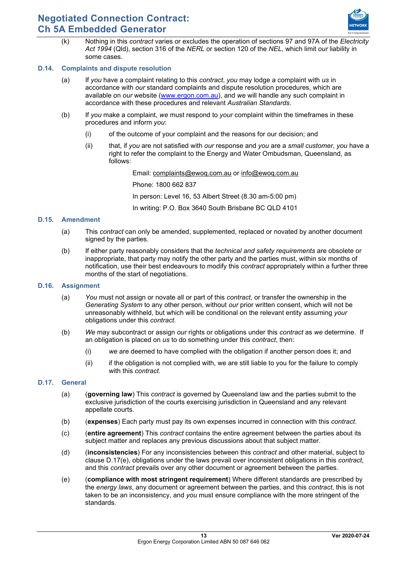

(k) Nothing in this *contract* varies or excludes the operation of sections 97 and 97A of the *Electricity Act 1994* (Qld), section 316 of the *NERL* or section 120 of the *NEL*, which limit *our* liability in some cases.

# **D.14. Complaints and dispute resolution**

- (a) If *you* have a complaint relating to this *contract*, *you* may lodge a complaint with *us* in accordance with *our* standard complaints and dispute resolution procedures, which are available on *our* website [\(www.ergon.com.au\)](http://www.ergon.com.au/), and *we* will handle any such complaint in accordance with these procedures and relevant *Australian Standards*.
- (b) If *you* make a complaint, *we* must respond to *your* complaint within the timeframes in these procedures and inform *you*:
	- (i) of the outcome of your complaint and the reasons for our decision; and
	- (ii) that, if *you* are not satisfied with *our* response and *you* are a *small customer*, *you* have a right to refer the complaint to the Energy and Water Ombudsman, Queensland, as follows:

Email: [complaints@ewoq.com.au](mailto:complaints@ewoq.com.au) or [info@ewoq.com.au](mailto:info@ewoq.com.au)

Phone: 1800 662 837

In person: Level 16, 53 Albert Street (8.30 am-5:00 pm)

In writing: P.O. Box 3640 South Brisbane BC QLD 4101

## **D.15. Amendment**

- (a) This *contract* can only be amended, supplemented, replaced or novated by another document signed by the parties.
- (b) If either party reasonably considers that the *technical and safety requirements* are obsolete or inappropriate, that party may notify the other party and the parties must, within six months of notification, use their best endeavours to modify this *contract* appropriately within a further three months of the start of negotiations.

#### <span id="page-13-0"></span>**D.16. Assignment**

- (a) *You* must not assign or novate all or part of this *contract*, or transfer the ownership in the *Generating System* to any other person, without *our* prior written consent, which will not be unreasonably withheld, but which will be conditional on the relevant entity assuming *your* obligations under this *contract*.
- (b) *We* may subcontract or assign *our* rights or obligations under this *contract* as *we* determine. If an obligation is placed on *us* to do something under this *contract*, then:
	- (i) *we* are deemed to have complied with the obligation if another person does it; and
	- (ii) if the obligation is not complied with, we are still liable to you for the failure to comply with this *contract*.

## **D.17. General**

- (a) (**governing law**) This *contract* is governed by Queensland law and the parties submit to the exclusive jurisdiction of the courts exercising jurisdiction in Queensland and any relevant appellate courts.
- (b) (**expenses**) Each party must pay its own expenses incurred in connection with this *contract*.
- (c) (**entire agreement**) This *contract* contains the entire agreement between the parties about its subject matter and replaces any previous discussions about that subject matter.
- (d) (**inconsistencies**) For any inconsistencies between this *contract* and other material, subject to clause [D.17\(e\),](#page-13-1) obligations under the laws prevail over inconsistent obligations in this *contract*, and this *contract* prevails over any other document or agreement between the parties.
- <span id="page-13-1"></span>(e) (**compliance with most stringent requirement**) Where different standards are prescribed by the *energy laws*, any document or agreement between the parties, and this *contract*, this is not taken to be an inconsistency, and *you* must ensure compliance with the more stringent of the standards.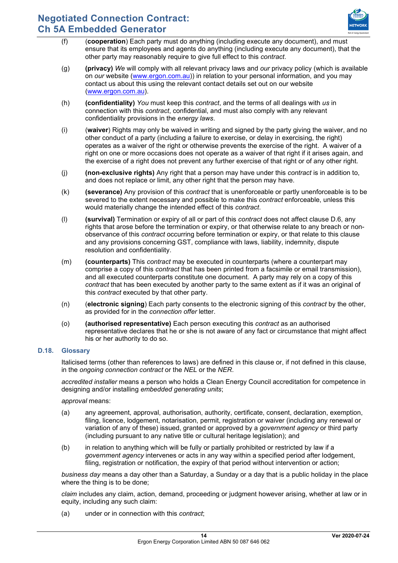

- (f) (**cooperation**) Each party must do anything (including execute any document), and must ensure that its employees and agents do anything (including execute any document), that the other party may reasonably require to give full effect to this *contract*.
- (g) **(privacy)** *We* will comply with all relevant privacy laws and *our* privacy policy (which is available on *our* website [\(www.ergon.com.au\)](http://www.ergon.com.au/)) in relation to your personal information, and you may contact us about this using the relevant contact details set out on our website [\(www.ergon.com.au\)](http://www.ergon.com.au/).
- (h) **(confidentiality)** *You* must keep this *contract*, and the terms of all dealings with *us* in connection with this *contract*, confidential, and must also comply with any relevant confidentiality provisions in the *energy laws*.
- (i) (**waiver**) Rights may only be waived in writing and signed by the party giving the waiver, and no other conduct of a party (including a failure to exercise, or delay in exercising, the right) operates as a waiver of the right or otherwise prevents the exercise of the right. A waiver of a right on one or more occasions does not operate as a waiver of that right if it arises again, and the exercise of a right does not prevent any further exercise of that right or of any other right.
- (j) **(non-exclusive rights)** Any right that a person may have under this *contract* is in addition to, and does not replace or limit, any other right that the person may have.
- (k) **(severance)** Any provision of this *contract* that is unenforceable or partly unenforceable is to be severed to the extent necessary and possible to make this *contract* enforceable, unless this would materially change the intended effect of this *contract*.
- (l) **(survival)** Termination or expiry of all or part of this *contract* does not affect clause [D.6,](#page-10-1) any rights that arose before the termination or expiry, or that otherwise relate to any breach or nonobservance of this *contract* occurring before termination or expiry, or that relate to this clause and any provisions concerning GST, compliance with laws, liability, indemnity, dispute resolution and confidentiality.
- (m) **(counterparts)** This *contract* may be executed in counterparts (where a counterpart may comprise a copy of this *contract* that has been printed from a facsimile or email transmission), and all executed counterparts constitute one document. A party may rely on a copy of this *contract* that has been executed by another party to the same extent as if it was an original of this *contract* executed by that other party.
- (n) (**electronic signing**) Each party consents to the electronic signing of this *contract* by the other, as provided for in the *connection offer* letter.
- (o) **(authorised representative)** Each person executing this *contract* as an authorised representative declares that he or she is not aware of any fact or circumstance that might affect his or her authority to do so.

## <span id="page-14-0"></span>**D.18. Glossary**

Italicised terms (other than references to laws) are defined in this clause or, if not defined in this clause, in the *ongoing connection contract* or the *NEL* or the *NER*.

*accredited installer* means a person who holds a Clean Energy Council accreditation for competence in designing and/or installing *embedded generating units*;

*approval* means:

- (a) any agreement, approval, authorisation, authority, certificate, consent, declaration, exemption, filing, licence, lodgement, notarisation, permit, registration or waiver (including any renewal or variation of any of these) issued, granted or approved by a *government agency* or third party (including pursuant to any native title or cultural heritage legislation); and
- (b) in relation to anything which will be fully or partially prohibited or restricted by law if a *government agency* intervenes or acts in any way within a specified period after lodgement, filing, registration or notification, the expiry of that period without intervention or action;

*business day* means a day other than a Saturday, a Sunday or a day that is a public holiday in the place where the thing is to be done;

*claim* includes any claim, action, demand, proceeding or judgment however arising, whether at law or in equity, including any such claim:

(a) under or in connection with this *contract*;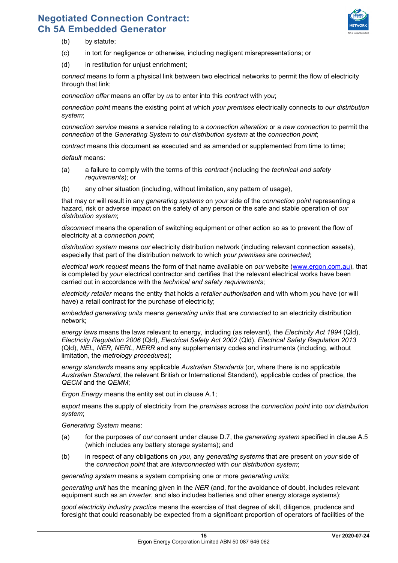

- (b) by statute;
- (c) in tort for negligence or otherwise, including negligent misrepresentations; or
- (d) in restitution for unjust enrichment;

*connect* means to form a physical link between two electrical networks to permit the flow of electricity through that link;

*connection offer* means an offer by *us* to enter into this *contract* with *you*;

*connection point* means the existing point at which *your premises* electrically connects to *our distribution system*;

*connection service* means a service relating to a *connection alteration* or a *new connection* to permit the *connection* of the *Generating System* to *our distribution system* at the *connection point*;

*contract* means this document as executed and as amended or supplemented from time to time;

*default* means:

- (a) a failure to comply with the terms of this *contract* (including the *technical and safety requirements*); or
- (b) any other situation (including, without limitation, any pattern of usage),

that may or will result in any *generating systems* on *your* side of the *connection point* representing a hazard, risk or adverse impact on the safety of any person or the safe and stable operation of *our distribution system*;

*disconnect* means the operation of switching equipment or other action so as to prevent the flow of electricity at a *connection point*;

*distribution system* means *our* electricity distribution network (including relevant connection assets), especially that part of the distribution network to which *your premises* are *connected*;

*electrical work request* means the form of that name available on *our* website [\(www.ergon.com.au\)](http://www.ergon.com.au/), that is completed by *your* electrical contractor and certifies that the relevant electrical works have been carried out in accordance with the *technical and safety requirements*;

*electricity retailer* means the entity that holds a *retailer authorisation* and with whom *you* have (or will have) a retail contract for the purchase of electricity;

*embedded generating units* means *generating units* that are *connected* to an electricity distribution network;

*energy laws* means the laws relevant to energy, including (as relevant), the *Electricity Act 1994* (Qld), *Electricity Regulation 2006* (Qld), *Electrical Safety Act 2002* (Qld), *Electrical Safety Regulation 2013*  (Qld), *NEL, NER, NERL, NERR* and any supplementary codes and instruments (including, without limitation, the *metrology procedures*);

*energy standards* means any applicable *Australian Standards* (or, where there is no applicable *Australian Standard*, the relevant British or International Standard), applicable codes of practice, the *QECM* and the *QEMM*;

*Ergon Energy* means the entity set out in clause [A.1;](#page-2-3) 

*export* means the supply of electricity from the *premises* across the *connection point* into *our distribution system*;

*Generating System* means:

- (a) for the purposes of *our* consent under clause [D.7,](#page-10-0) the *generating system* specified in clause [A.5](#page-2-0) (which includes any battery storage systems); and
- (b) in respect of any obligations on *you*, any *generating systems* that are present on *your* side of the *connection point* that are *interconnected* with *our distribution system*;

*generating system* means a system comprising one or more *generating units*;

*generating unit* has the meaning given in the *NER* (and, for the avoidance of doubt, includes relevant equipment such as an *inverter*, and also includes batteries and other energy storage systems);

*good electricity industry practice* means the exercise of that degree of skill, diligence, prudence and foresight that could reasonably be expected from a significant proportion of operators of facilities of the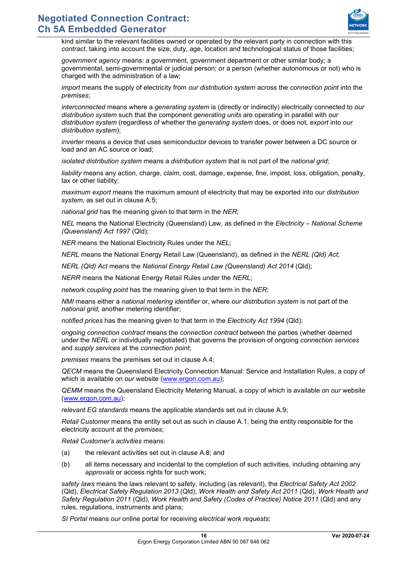

kind similar to the relevant facilities owned or operated by the relevant party in connection with this *contract*, taking into account the size, duty, age, location and technological status of those facilities;

*government agency* means: a government, government department or other similar body; a governmental, semi-governmental or judicial person; or a person (whether autonomous or not) who is charged with the administration of a law;

*import* means the supply of electricity from *our distribution system* across the *connection point* into the *premises*;

*interconnected* means where a *generating system* is (directly or indirectly) electrically connected to *our distribution system* such that the component *generating units* are operating in parallel with *our distribution system* (regardless of whether the *generating system* does, or does not, *export* into *our distribution system*);

*inverter* means a device that uses semiconductor devices to transfer power between a DC source or load and an AC source or load;

*isolated distribution system* means a *distribution system* that is not part of the *national grid*;

*liability* means any action, charge, *claim*, cost, damage, expense, fine, impost, loss, obligation, penalty, tax or other liability;

*maximum export* means the maximum amount of electricity that may be exported into *our distribution system*, as set out in clause [A.5;](#page-2-0)

*national grid* has the meaning given to that term in the *NER*;

*NEL* means the National Electricity (Queensland) Law, as defined in the *Electricity – National Scheme (Queensland) Act 1997* (Qld);

*NER* means the National Electricity Rules under the *NEL*;

*NERL* means the National Energy Retail Law (Queensland), as defined in the *NERL (Qld) Act*;

*NERL (Qld) Act* means the *National Energy Retail Law (Queensland) Act 2014* (Qld);

*NERR* means the National Energy Retail Rules under the *NERL*;

*network coupling point* has the meaning given to that term in the *NER*;

*NMI* means either a *national metering identifier* or, where *our distribution system* is not part of the *national grid*, another metering identifier;

*notified prices* has the meaning given to that term in the *Electricity Act 1994* (Qld);

*ongoing connection contract* means the *connection contract* between the parties (whether deemed under the *NERL* or individually negotiated) that governs the provision of ongoing *connection services* and *supply services* at the *connection point*;

*premises* means the premises set out in clause [A.4;](#page-2-4)

*QECM* means the Queensland Electricity Connection Manual: Service and Installation Rules, a copy of which is available on *our* website [\(www.ergon.com.au\)](http://www.ergon.com.au/);

*QEMM* means the Queensland Electricity Metering Manual, a copy of which is available on *our* website [\(www.ergon.com.au\)](http://www.ergon.com.au/);

*relevant EG standards* means the applicable standards set out in clause [A.9;](#page-3-2)

*Retail Customer* means the entity set out as such in clause [A.1,](#page-2-3) being the entity responsible for the electricity account at the *premises*;

*Retail Customer's activities* means:

- (a) the relevant activities set out in clause [A.8;](#page-3-1) and
- (b) all items necessary and incidental to the completion of such activities, including obtaining any *approvals* or access rights for such work;

*safety laws* means the laws relevant to safety, including (as relevant), the *Electrical Safety Act 2002*  (Qld), *Electrical Safety Regulation 2013* (Qld), *Work Health and Safety Act 2011* (Qld), *Work Health and Safety Regulation 2011* (Qld), *Work Health and Safety (Codes of Practice) Notice 2011* (Qld) and any rules, regulations, instruments and plans;

*SI Portal* means *our* online portal for receiving *electrical work requests*;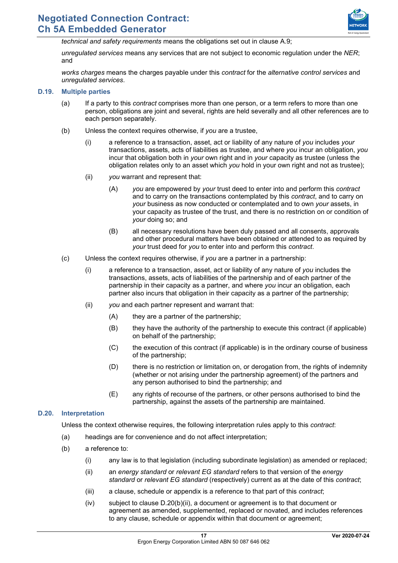

*technical and safety requirements* means the obligations set out in clause [A.9;](#page-3-2)

*unregulated services* means any services that are not subject to economic regulation under the *NER*; and

*works charges* means the charges payable under this *contract* for the *alternative control services* and *unregulated services*.

#### **D.19. Multiple parties**

- (a) If a party to this *contract* comprises more than one person, or a term refers to more than one person, obligations are joint and several, rights are held severally and all other references are to each person separately.
- (b) Unless the context requires otherwise, if *you* are a trustee,
	- (i) a reference to a transaction, asset, act or liability of any nature of *you* includes *your* transactions, assets, acts of liabilities as trustee, and where *you* incur an obligation, *you* incur that obligation both in *your* own right and in *your* capacity as trustee (unless the obligation relates only to an asset which *you* hold in your own right and not as trustee);
	- (ii) *you* warrant and represent that:
		- (A) *you* are empowered by *your* trust deed to enter into and perform this *contract* and to carry on the transactions contemplated by this *contract*, and to carry on *your* business as now conducted or contemplated and to own *your* assets, in your capacity as trustee of the trust, and there is no restriction on or condition of *your* doing so; and
		- (B) all necessary resolutions have been duly passed and all consents, approvals and other procedural matters have been obtained or attended to as required by *your* trust deed for *you* to enter into and perform this *contract*.
- (c) Unless the context requires otherwise, if *you* are a partner in a partnership:
	- (i) a reference to a transaction, asset, act or liability of any nature of *you* includes the transactions, assets, acts of liabilities of the partnership and of each partner of the partnership in their capacity as a partner, and where *you* incur an obligation, each partner also incurs that obligation in their capacity as a partner of the partnership;
	- (ii) *you* and each partner represent and warrant that:
		- (A) they are a partner of the partnership;
		- (B) they have the authority of the partnership to execute this contract (if applicable) on behalf of the partnership;
		- (C) the execution of this contract (if applicable) is in the ordinary course of business of the partnership;
		- (D) there is no restriction or limitation on, or derogation from, the rights of indemnity (whether or not arising under the partnership agreement) of the partners and any person authorised to bind the partnership; and
		- (E) any rights of recourse of the partners, or other persons authorised to bind the partnership, against the assets of the partnership are maintained.

#### **D.20. Interpretation**

Unless the context otherwise requires, the following interpretation rules apply to this *contract*:

- (a) headings are for convenience and do not affect interpretation;
- <span id="page-17-0"></span>(b) a reference to:
	- (i) any law is to that legislation (including subordinate legislation) as amended or replaced;
	- (ii) an *energy standard* or *relevant EG standard* refers to that version of the *energy standard* or *relevant EG standard* (respectively) current as at the date of this *contract*;
	- (iii) a clause, schedule or appendix is a reference to that part of this *contract*;
	- (iv) subject to clause [D.20\(b\)\(ii\),](#page-17-0) a document or agreement is to that document or agreement as amended, supplemented, replaced or novated, and includes references to any clause, schedule or appendix within that document or agreement;